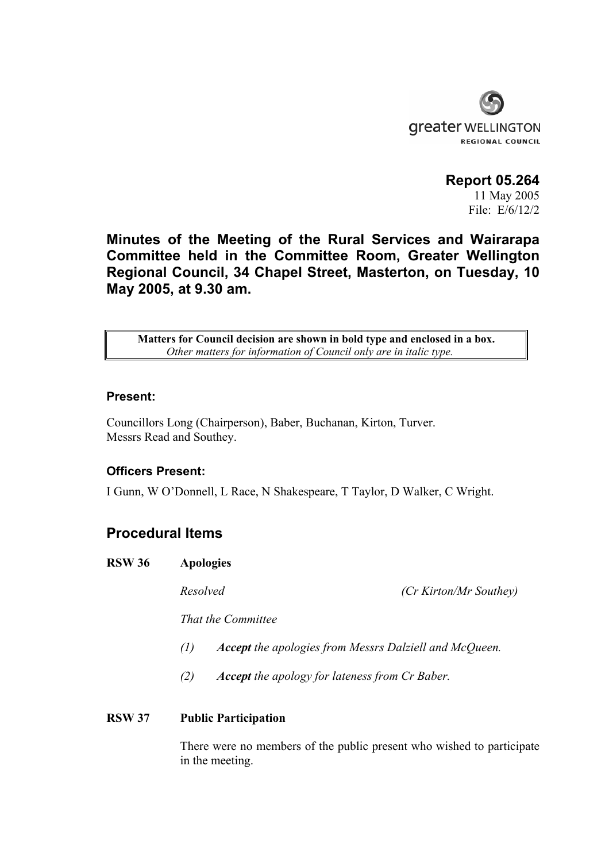

**Report 05.264**  11 May 2005 File: E/6/12/2

**Minutes of the Meeting of the Rural Services and Wairarapa Committee held in the Committee Room, Greater Wellington Regional Council, 34 Chapel Street, Masterton, on Tuesday, 10 May 2005, at 9.30 am.** 

**Matters for Council decision are shown in bold type and enclosed in a box.** *Other matters for information of Council only are in italic type.*

#### **Present:**

Councillors Long (Chairperson), Baber, Buchanan, Kirton, Turver. Messrs Read and Southey.

## **Officers Present:**

I Gunn, W O'Donnell, L Race, N Shakespeare, T Taylor, D Walker, C Wright.

# **Procedural Items**

**RSW 36 Apologies** 

*Resolved (Cr Kirton/Mr Southey)* 

 *That the Committee* 

- *(1) Accept the apologies from Messrs Dalziell and McQueen.*
- *(2) Accept the apology for lateness from Cr Baber.*

## **RSW 37 Public Participation**

There were no members of the public present who wished to participate in the meeting.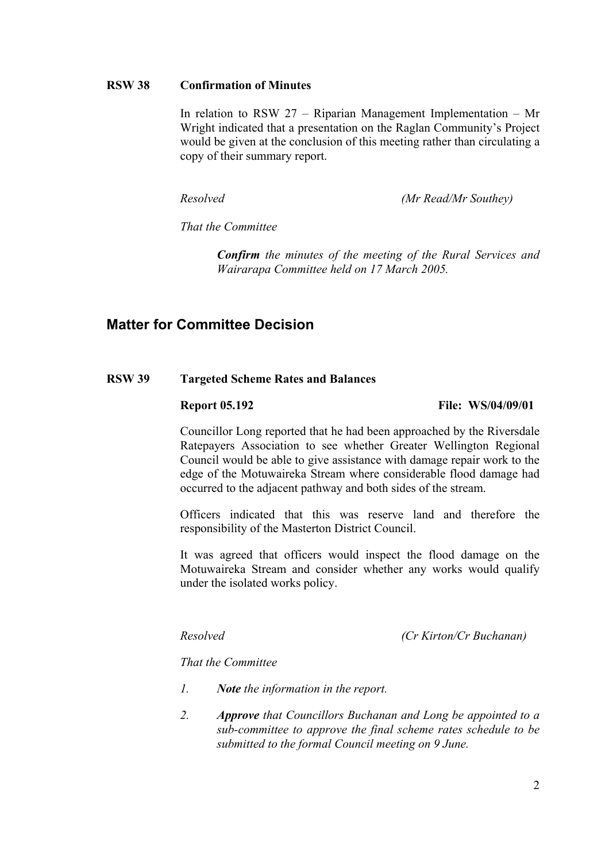## **RSW 38 Confirmation of Minutes**

In relation to RSW 27 – Riparian Management Implementation – Mr Wright indicated that a presentation on the Raglan Community's Project would be given at the conclusion of this meeting rather than circulating a copy of their summary report.

*Resolved (Mr Read/Mr Southey)* 

 *That the Committee* 

 *Confirm the minutes of the meeting of the Rural Services and Wairarapa Committee held on 17 March 2005.* 

# **Matter for Committee Decision**

## **RSW 39 Targeted Scheme Rates and Balances**

**Report 05.192** File: WS/04/09/01

Councillor Long reported that he had been approached by the Riversdale Ratepayers Association to see whether Greater Wellington Regional Council would be able to give assistance with damage repair work to the edge of the Motuwaireka Stream where considerable flood damage had occurred to the adjacent pathway and both sides of the stream.

 Officers indicated that this was reserve land and therefore the responsibility of the Masterton District Council.

 It was agreed that officers would inspect the flood damage on the Motuwaireka Stream and consider whether any works would qualify under the isolated works policy.

*Resolved (Cr Kirton/Cr Buchanan)* 

 *That the Committee* 

- *1. Note the information in the report.*
- *2. Approve that Councillors Buchanan and Long be appointed to a sub-committee to approve the final scheme rates schedule to be submitted to the formal Council meeting on 9 June.*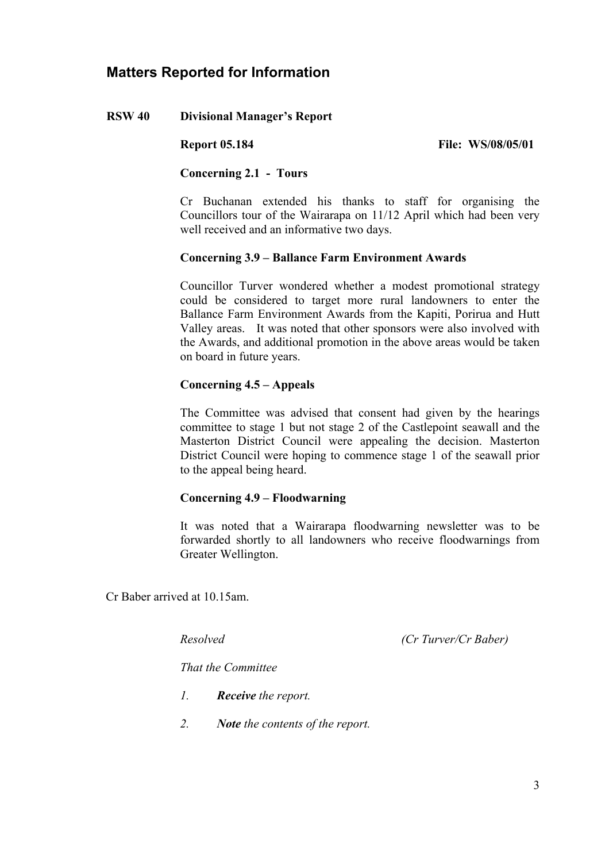# **Matters Reported for Information**

## **RSW 40 Divisional Manager's Report**

**Report 05.184** File: WS/08/05/01

#### **Concerning 2.1 - Tours**

Cr Buchanan extended his thanks to staff for organising the Councillors tour of the Wairarapa on 11/12 April which had been very well received and an informative two days.

## **Concerning 3.9 – Ballance Farm Environment Awards**

Councillor Turver wondered whether a modest promotional strategy could be considered to target more rural landowners to enter the Ballance Farm Environment Awards from the Kapiti, Porirua and Hutt Valley areas. It was noted that other sponsors were also involved with the Awards, and additional promotion in the above areas would be taken on board in future years.

## **Concerning 4.5 – Appeals**

The Committee was advised that consent had given by the hearings committee to stage 1 but not stage 2 of the Castlepoint seawall and the Masterton District Council were appealing the decision. Masterton District Council were hoping to commence stage 1 of the seawall prior to the appeal being heard.

## **Concerning 4.9 – Floodwarning**

It was noted that a Wairarapa floodwarning newsletter was to be forwarded shortly to all landowners who receive floodwarnings from Greater Wellington.

Cr Baber arrived at 10.15am.

*Resolved (Cr Turver/Cr Baber)* 

 *That the Committee* 

- *1. Receive the report.*
- *2. Note the contents of the report.*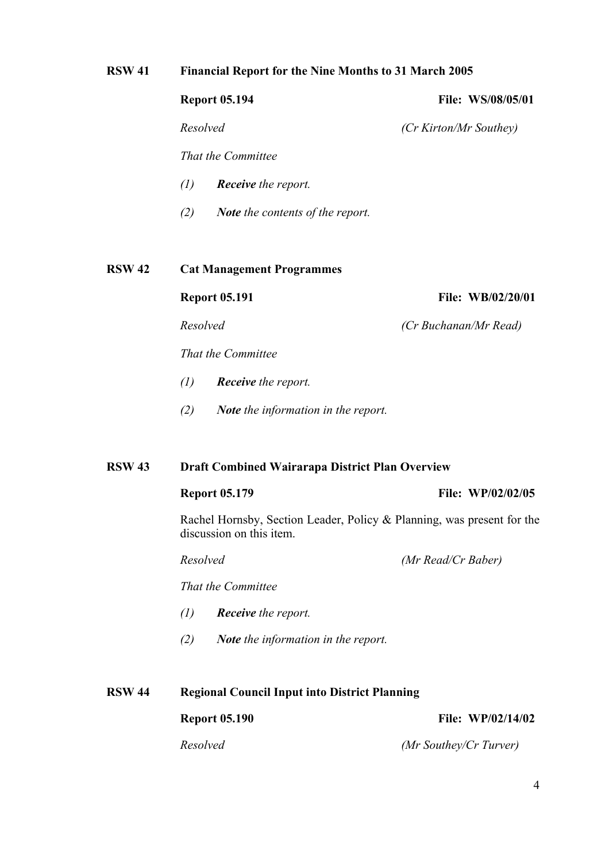## **RSW 41 Financial Report for the Nine Months to 31 March 2005**

## **Report 05.194** File: WS/08/05/01

*Resolved (Cr Kirton/Mr Southey)* 

 *That the Committee* 

- *(1) Receive the report.*
- *(2) Note the contents of the report.*

## **RSW 42 Cat Management Programmes**

## **Report 05.191** File: WB/02/20/01

 *Resolved (Cr Buchanan/Mr Read)* 

 *That the Committee* 

- *(1) Receive the report.*
- *(2) Note the information in the report.*

## **RSW 43 Draft Combined Wairarapa District Plan Overview**

#### **Report 05.179 File: WP/02/02/05**

Rachel Hornsby, Section Leader, Policy & Planning, was present for the discussion on this item.

 *Resolved (Mr Read/Cr Baber)* 

 *That the Committee* 

- *(1) Receive the report.*
- *(2) Note the information in the report.*

**RSW 44 Regional Council Input into District Planning Report 05.190 File: WP/02/14/02** *Resolved (Mr Southey/Cr Turver)*